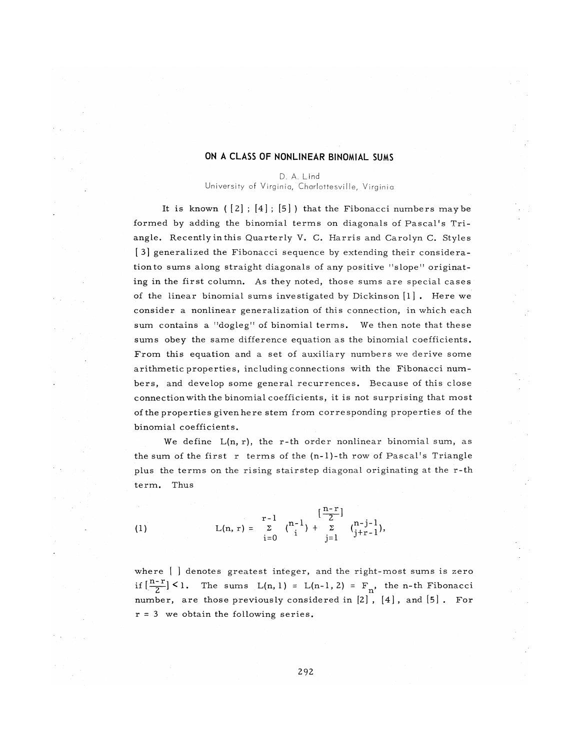### **ON A CLASS OF NONLINEAR BINOMIAL SUMS**

D. A. Lind University of Virginia, Charlottesville, Virginia

It is known  $([2]$ ;  $[4]$ ;  $[5]$ ) that the Fibonacci numbers may be formed by adding the binomial terms on diagonals of Pascal's Triangle. Recently in this Quarterly V. C. Harris and Carolyn C. Styles  $\lceil 3 \rceil$  generalized the Fibonacci sequence by extending their consideration to sums along straight diagonals of any positive " slope " originating in the first column. As they noted, those sums are special cases of the linear binomial sums investigated by Dickinson  $[1]$ . Here we consider a nonlinear generalization of this connection, in which each sum contains a "dogleg" of binomial terms. We then note that these sums obey the same difference equation as the binomial coefficients. From this equation and a set of auxiliary numbers we derive some arithmetic properties, including connections with the Fibonacci numbers, and develop some general recurrences. Because of this close connection with the binomial coefficients, it is not surprising that most of the properties given here stem from corresponding properties of the binomial coefficients.

We define  $L(n, r)$ , the r-th order nonlinear binomial sum, as the sum of the first r terms of the  $(n-1)$ -th row of Pascal's Triangle plus the terms on the rising stairstep diagonal originating at the r-th term. Thus

(1)  $L(n, r) = \sum_{i=1}^{r-1} {n-1 \choose i} + \sum_{i=1}^{\left[\frac{n-1}{2}\right]} {n-j-1 \choose i+r-1},$ i=0 j=l *<sup>3</sup>*

where  $[$   $]$  denotes greatest integer, and the right-most sums is zero if  $\left[\frac{n-r}{2}\right]$  < 1. The sums  $L(n, 1) = L(n-1, 2) = F_n$ , the n-th Fibonacci number, are those previously considered in  $[2]$ ,  $[4]$ , and  $[5]$ . For  $r = 3$  we obtain the following series.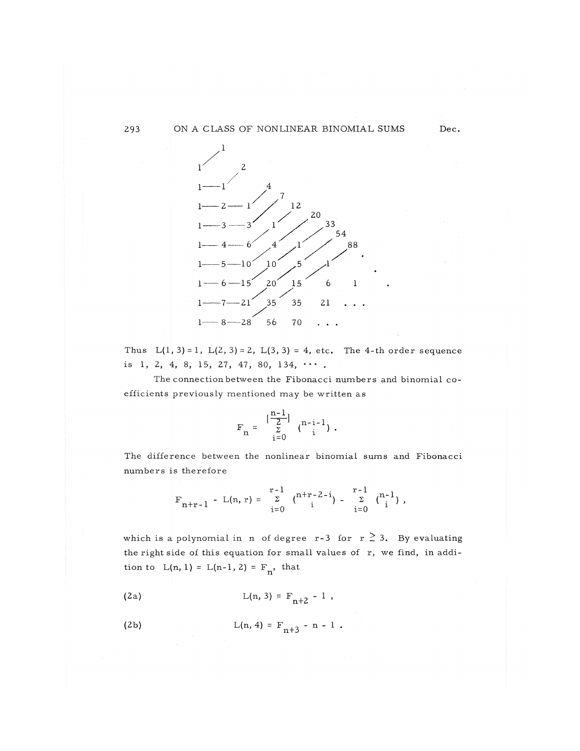#### 293 ON A CLASS OF NONLINEAR BINOMIAL SUMS



Thus  $L(1, 3) = 1$ ,  $L(2, 3) = 2$ ,  $L(3, 3) = 4$ , etc. The 4-th order sequence is 1, 2, 4, 8, 15, 27, 47, 80, 134,  $\cdots$ .

The connection between the Fibonacci numbers and binomial coefficients previously mentioned may be written as

$$
F_n = \frac{\left[\frac{n-1}{2}\right]}{\sum_{i=0}^{n} \binom{n-i-1}{i}}.
$$

The difference between the nonlinear binomial sums and Fibonacci numbers is therefore

$$
F_{n+r-1} - L(n,r) = \sum_{i=0}^{r-1} {n+r-2-i \choose i} - \sum_{i=0}^{r-1} {n-1 \choose i},
$$

which is a polynomial in n of degree  $r-3$  for  $r \geq 3$ . By evaluating the right side of this equation for small values of r, we find, in addition to  $L(n, 1) = L(n-1, 2) = F_n$ , that

(2a) 
$$
L(n, 3) = F_{n+2} - 1
$$
,

(2b) 
$$
L(n, 4) = F_{n+3} - n - 1
$$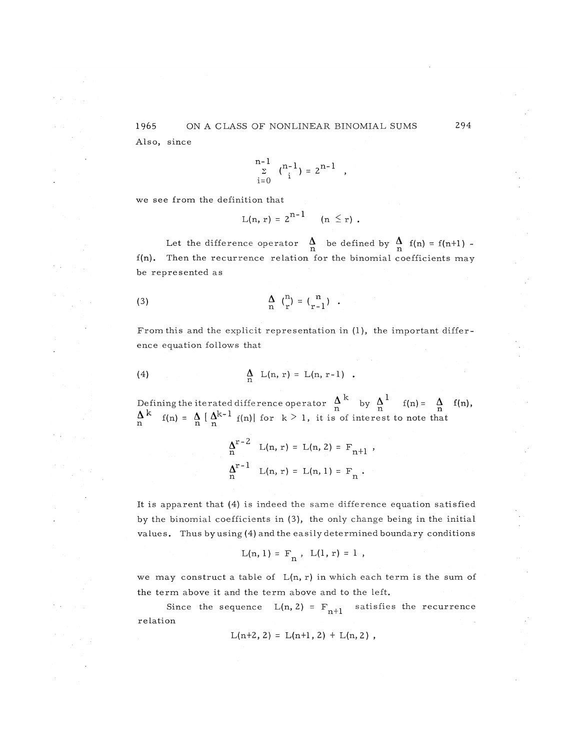$$
\sum_{i=0}^{n-1} \binom{n-1}{i} = 2^{n-1},
$$

$$
L(n, r) = 2^{n-1}
$$
  $(n \le r).$ 

Let the difference operator  $\Lambda$  be defined by  $\Lambda$  f(n) = f(n+1)  $f(n)$ . Then the recurrence relation for the binomial coefficients may be represented as

$$
\begin{array}{cc}\n\Delta & \binom{n}{r} = \binom{n}{r-1} \end{array}.
$$

From this and the explicit representation in  $(1)$ , the important difference equation follows that

(4) 
$$
\Lambda_{n} L(n, r) = L(n, r-1)
$$
.

Defining the iterated difference operator  $\Delta$  by  $\Delta$  f(n) =  $\Delta$  f(n),  $\mathbf{A}^{\mathbf{k}}$  **v n n n n n n n n**  $f(n) = \frac{N}{n} \left\{ \frac{N^{n}}{n} \right\}$  f(n)| for  $k \ge 1$ , it is of interest to note that

$$
\Delta_n^{r-2} L(n, r) = L(n, 2) = F_{n+1} ,
$$
  

$$
\Delta_n^{r-1} L(n, r) = L(n, 1) = F_n .
$$

It is apparent that (4) is indeed the same difference equation satisfied by the binomial coefficients in (3), the only change being in the initial values. Thus by using  $(4)$  and the easily determined boundary conditions

$$
L(n, 1) = F_n
$$
,  $L(1, r) = 1$ ,

we may construct a table of  $L(n, r)$  in which each term is the sum of the term above it and the term above and to the left.

Since the sequence  $L(n, 2) = F_{n+1}$  satisfies the recurrence relation

$$
L(n+2, 2) = L(n+1, 2) + L(n, 2) ,
$$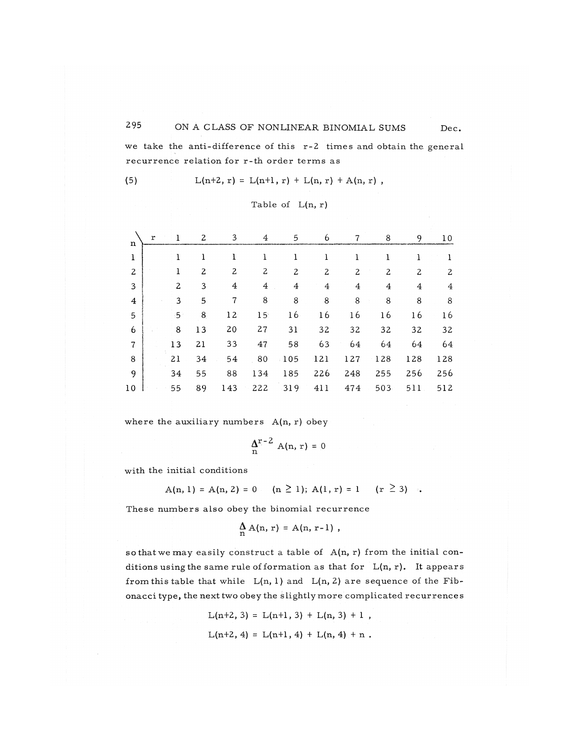# 295 ON A CLASS OF NONLINEAR BINOMIAL SUMS Dec.

we take the anti-difference of this r-2 times and obtain the general recurrence relation for r-th order terms as

(5)  $L(n+2, r) = L(n+1, r) + L(n, r) + A(n, r)$ ,

Table of 
$$
L(n, r)
$$

| ${\bf r}$ |              | 2              | 3              | 4               | 5           | 6              | 7   | 8   | 9              | 10             |
|-----------|--------------|----------------|----------------|-----------------|-------------|----------------|-----|-----|----------------|----------------|
|           | ı            | 1              | ı              | 1               | ı           | 1              | 1   | 1   | 1              |                |
|           | ı            | $\overline{c}$ | 2              | 2               | 2           | 2              | 2   | 2   | 2              | $\overline{c}$ |
|           | $\mathbf{z}$ | 3              | $\overline{4}$ | $\overline{4}$  | 4           | $\overline{4}$ | 4   | 4   | $\overline{4}$ | 4              |
|           | 3            | 5              | 7              | 8               | 8           | 8              | 8   | 8   | 8              | 8              |
|           | 5.           | 8              | 12             | 15 <sub>1</sub> | 16          | 16             | 16  | 16  | 16             | 16             |
|           | 8            | 13             | 20             | 27              | 31          | 32             | 32  | 32  | 32             | 32             |
|           | 13           | 21             | 33             | 47              | 58          | 63             | 64  | 64  | 64             | 64             |
|           | 21           | 34             | 54             | 80              | $\cdot 105$ | 121            | 127 | 128 | 128            | 128            |
|           | 34           | 55             | 88             | 134             | 185         | 226            | 248 | 255 | 256            | 256            |
|           | 55           | 89             | 143            | 222             | 319         | 411            | 474 | 503 | 511            | 512            |
|           |              |                |                |                 |             |                |     |     |                |                |

where the auxiliary numbers  $A(n, r)$  obey

$$
\Delta^{r-2} A(n,r) = 0
$$

with the initial conditions

$$
A(n, 1) = A(n, 2) = 0 \qquad (n \ge 1); \ A(1, r) = 1 \qquad (r \ge 3) \quad .
$$

These numbers also obey the binomial recurrence

$$
\mathop{\rm A}\limits_n{\rm A(n,\,r)}={\rm A(n,\,r-1)}\,\,,
$$

so that we may easily construct a table of  $A(n, r)$  from the initial conditions using the same rule of formation as that for  $L(n, r)$ . It appears from this table that while  $L(n, 1)$  and  $L(n, 2)$  are sequence of the Fibonacci type, the next two obey the slightly more complicated recurrences

> $L(n+2, 3) = L(n+1, 3) + L(n, 3) + 1$ ,  $L(n+2, 4) = L(n+1, 4) + L(n, 4) + n$ .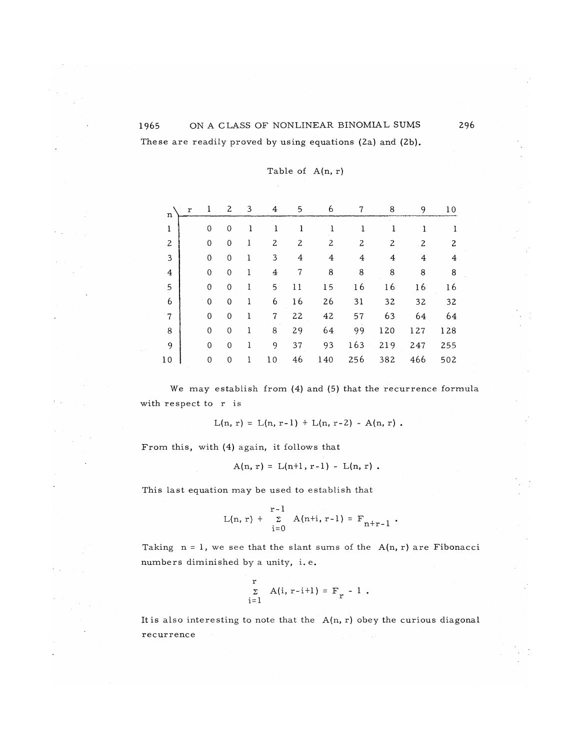# ON A CLASS OF NONLINEAR BINOMIAL SUMS These are readily proved by using equations (2a) and (2b).

| n  | r | 1           | 2           | 3 | 4              | 5  | 6   | 7   | 8   | 9   | 10  |
|----|---|-------------|-------------|---|----------------|----|-----|-----|-----|-----|-----|
| ı  |   | 0           | 0           | ı | ı              | 1  |     | 1   | 1   | Ŧ   |     |
| 2  |   | 0           | 0           | ı | 2              | 2  | 2   | 2   | 2   | 2   | 2   |
| 3  |   | 0           | 0           | l | 3              | 4  | 4   | 4   | 4   | 4   | 4   |
| 4  |   | 0           | 0           | 1 | $\overline{4}$ | 7  | 8   | 8   | 8   | 8   | 8   |
| 5  |   | 0           | 0           | 1 | 5              | 11 | 15  | 16  | 16  | 16  | 16  |
| 6  |   | 0           | 0           | ı | 6              | 16 | 26  | 31  | 32  | 32  | 32  |
| 7  |   | 0           | 0           |   | 7              | 22 | 42  | 57  | 63  | 64  | 64  |
| 8  |   | 0           | $\mathbf 0$ | 1 | 8              | 29 | 64  | 99  | 120 | 127 | 128 |
| 9  |   | $\mathbf 0$ | 0           | l | 9              | 37 | 93  | 163 | 219 | 247 | 255 |
| 10 |   | 0           | 0           | 1 | 10             | 46 | 140 | 256 | 382 | 466 | 502 |

Table of A(n, r)

We may establish from  $(4)$  and  $(5)$  that the recurrence formula with respect to r is

 $L(n, r) = L(n, r-1) + L(n, r-2) - A(n, r)$ .

From this, with (4) again, it follows that

$$
A(n, r) = L(n+1, r-1) - L(n, r).
$$

This last equation may be used to establish that

$$
L(n, r) + \sum_{i=0}^{r-1} A(n+i, r-i) = F_{n+r-1}.
$$

Taking  $n = 1$ , we see that the slant sums of the  $A(n, r)$  are Fibonacci numbers diminished by a unity, i.e.

$$
\sum_{i=1}^{r} A(i, r-i+1) = F_r - 1.
$$

It is also interesting to note that the  $A(n, r)$  obey the curious diagonal r e currence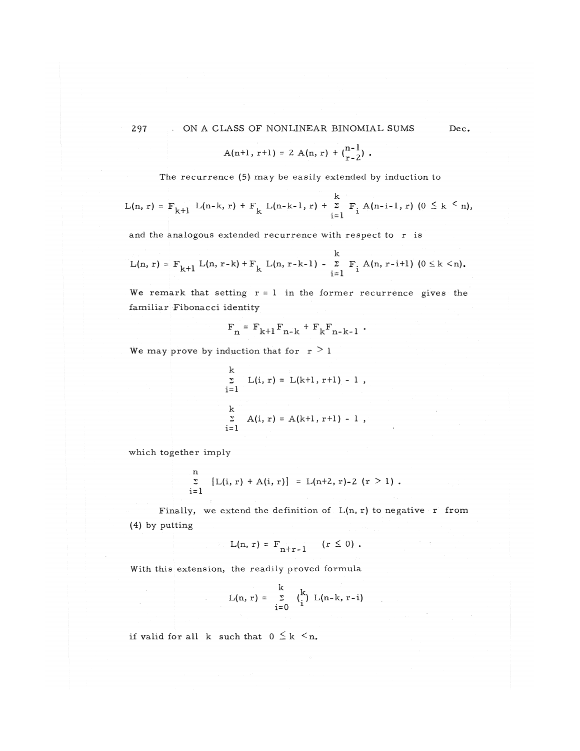$$
A(n+1, r+1) = 2 A(n, r) + {n-1 \choose r-2}.
$$

The recurrence (5) may be easily extended by induction to

$$
L(n,r) = F_{k+1} L(n-k,r) + F_k L(n-k-1,r) + \sum_{i=1}^{k} F_i A(n-i-1,r) \quad (0 \leq k \leq n),
$$

and the analogous extended recurrence with respect to r is

$$
L(n, r) = F_{k+1} L(n, r-k) + F_k L(n, r-k-1) - \sum_{i=1}^{k} F_i A(n, r-i+1) (0 \le k < n).
$$

We remark that setting  $r = 1$  in the former recurrence gives the familiar Fibonacci identity

$$
F_n = F_{k+1} F_{n-k} + F_k F_{n-k-1}
$$
.

We may prove by induction that for  $r > 1$ 

k  
\n
$$
\sum_{i=1}^{k} L(i, r) = L(k+1, r+1) - 1,
$$
\nk  
\n
$$
\sum_{i=1}^{k} A(i, r) = A(k+1, r+1) - 1,
$$

which together imply

$$
\sum_{i=1}^{n} [L(i, r) + A(i, r)] = L(n+2, r)-2 (r > 1).
$$

Finally, we extend the definition of  $L(n, r)$  to negative r from (4) by putting

$$
L(n,r) = F_{n+r-1} \quad (r \leq 0).
$$

With this extension, the readily proved formula

$$
L(n, r) = \sum_{i=0}^{k} {k \choose i} L(n-k, r-i)
$$

if valid for all k such that  $0 \leq k \leq n$ .